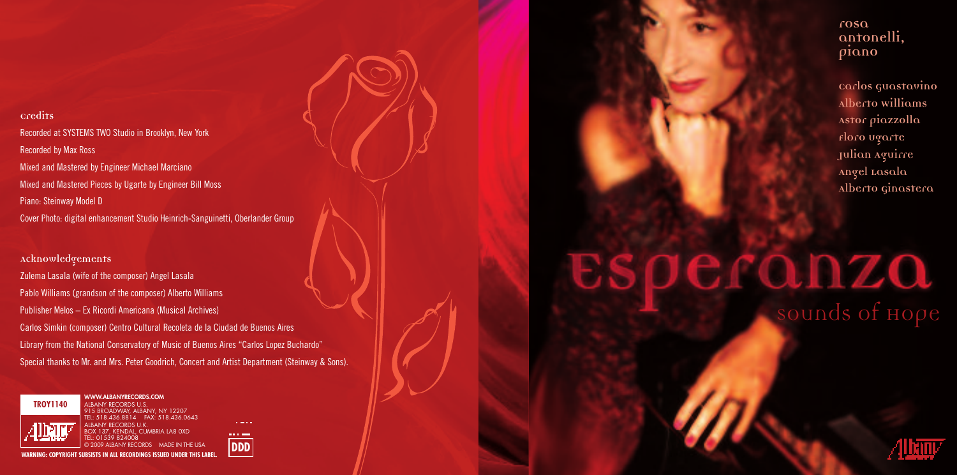**Credits** Recorded at SYSTEMS TWO Studio in Brooklyn, New York Recorded by Max Ross Mixed and Mastered by Engineer Michael Marciano Mixed and Mastered Pieces by Ugarte by Engineer Bill Moss Piano: Steinway Model D Cover Photo: digital enhancement Studio Heinrich-Sanguinetti, Oberlander Group

**Acknowledgements** Zulema Lasala (wife of the composer) Angel Lasala Pablo Williams (grandson of the composer) Alberto Williams Publisher Melos – Ex Ricordi Americana (Musical Archives) Carlos Simkin (composer) Centr o Cultural Recoleta de la Ciudad de Buenos Aires Library from the National Conservatory of Music of Buenos Aires "Carlos Lopez Buchardo" Special thanks to Mr. and Mrs. Peter Goodrich, Concert and Artist Department (Steinway & Sons).



915 BROADWAY, ALBANY, NY 12207 TEL: 518.436.8814 FAX: 518.436.0643

BOX 137, KENDAL, CUMBRIA LA8 0XD

**WARDING: COPYPIGET SUBSISTS OF SUBSISTS IN ALL REPORTS IN ALL RECORDS** MADE IN THE USA

 $\sim 100$ 





## **piano**

**rosa antonelli,**

**Carlos Guastavino Alberto Williams Astor piazzolla Floro Ugarte Julian Aguirre Angel Lasala Alberto Ginastera**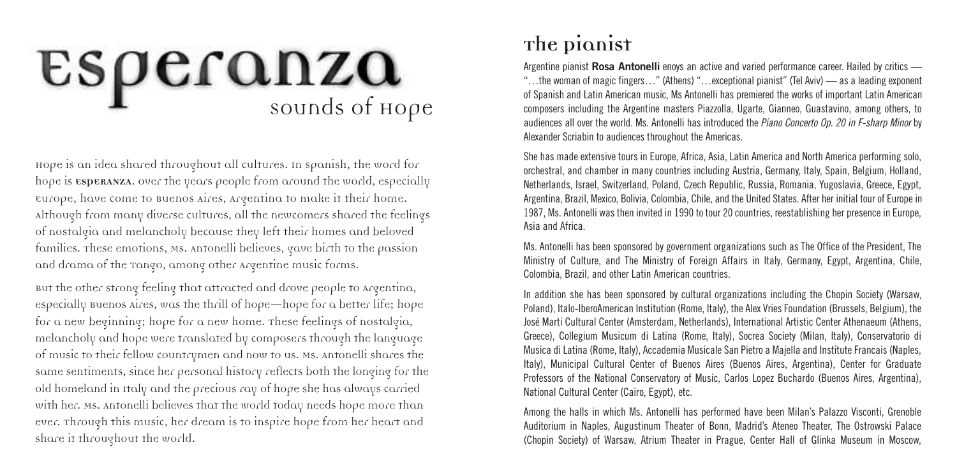# ESperanza

Hope is an idea shared throughout all cultures. In Spanish, the word for hope is **ESPERANZA**. Over the years people from around the world, especially Europe, have come to Buenos Aires, Argentina to make it their home. Although from many diverse cultures, all the newcomers shared the feelings of nostalgia and melancholy because they left their homes and beloved families. These emotions, Ms. Antonelli believes, gave birth to the passion and drama of the Tango, among other Argentine music forms.

But the other strong feeling that attracted and drove people to Argentina, especially Buenos Aires, was the thrill of hope—hope for a better life; hope for a new beginning; hope for a new home. These feelings of nostalgia, melancholy and hope were translated by composers through the language of music to their fellow countrymen and now to us. Ms. Antonelli shares the same sentiments, since her personal history reflects both the longing for the old homeland in Italy and the precious ray of hope she has always carried with her. Ms. Antonelli believes that the world today needs hope more than ever. Through this music, her dream is to inspire hope from her heart and share it throughout the world.

#### **The Pianist**

Argentine pianist **Rosa Antonelli** enoys an active and varied performance career. Hailed by critics — "…the woman of magic fingers…" (Athens) "…exceptional pianist" (Tel Aviv) — as a leading exponent of Spanish and Latin American music, Ms Antonelli has premiered the works of important Latin American composers including the Argentine masters Piazzolla, Ugarte, Gianneo, Guastavino, among others, to audiences all over the world. Ms. Antonelli has introduced the *Piano Concerto Op. 20 in F-sharp Minor* by Alexander Scriabin to audiences throughout the Americas.

She has made extensive tours in Europe, Africa, Asia, Latin America and North America performing solo, orchestral, and chamber in many countries including Austria, Germany, Italy, Spain, Belgium, Holland, Netherlands, Israel, Switzerland, Poland, Czech Republic, Russia, Romania, Yugoslavia, Greece, Egypt, Argentina, Brazil, Mexico, Bolivia, Colombia, Chile, and the United States. After her initial tour of Europe in 1987, Ms. Antonelli was then invited in 1990 to tour 20 countries, reestablishing her presence in Europe, Asia and Africa.

Ms. Antonelli has been sponsored by government organizations such as The Office of the President, The Ministry of Culture, and The Ministry of Foreign Affairs in Italy, Germany, Egypt, Argentina, Chile, Colombia, Brazil, and other Latin American countries.

In addition she has been sponsored by cultural organizations including the Chopin Society (Warsaw, Poland), Italo-IberoAmerican Institution (Rome, Italy), the Alex Vries Foundation (Brussels, Belgium), the José Marti Cultural Center (Amsterdam, Netherlands), International Artistic Center Athenaeum (Athens, Greece), Collegium Musicum di Latina (Rome, Italy), Socrea Society (Milan, Italy), Conservatorio di Musica di Latina (Rome, Italy), Accademia Musicale San Pietro a Majella and Institute Francais (Naples, Italy), Municipal Cultural Center of Buenos Aires (Buenos Aires, Argentina), Center for Graduate Professors of the National Conservatory of Music, Carlos Lopez Buchardo (Buenos Aires, Argentina), National Cultural Center (Cairo, Egypt), etc.

Among the halls in which Ms. Antonelli has performed have been Milan's Palazzo Visconti, Grenoble Auditorium in Naples, Augustinum Theater of Bonn, Madrid's Ateneo Theater, The Ostrowski Palace (Chopin Society) of Warsaw, Atrium Theater in Prague, Center Hall of Glinka Museum in Moscow,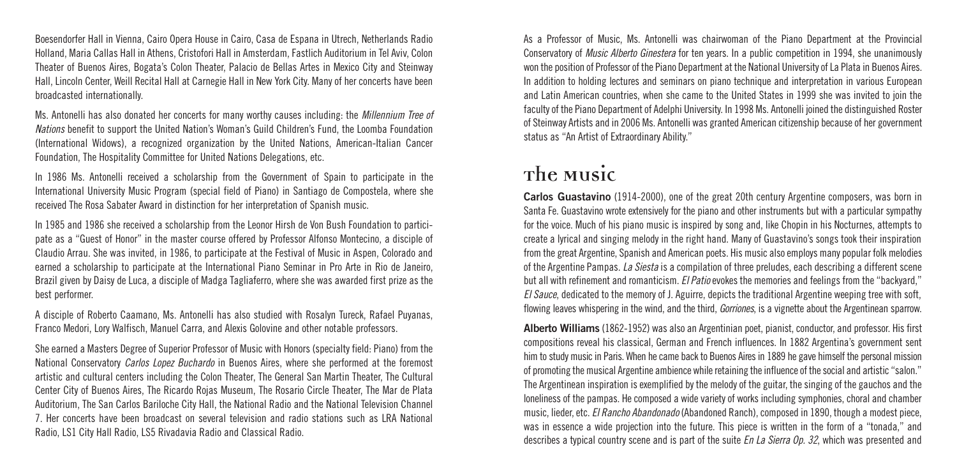Boesendorfer Hall in Vienna, Cairo Opera House in Cairo, Casa de Espana in Utrech, Netherlands Radio Holland, Maria Callas Hall in Athens, Cristofori Hall in Amsterdam, Fastlich Auditorium in Tel Aviv, Colon Theater of Buenos Aires, Bogata's Colon Theater, Palacio de Bellas Artes in Mexico City and Steinway Hall, Lincoln Center, Weill Recital Hall at Carnegie Hall in New York City. Many of her concerts have been broadcasted internationally.

Ms. Antonelli has also donated her concerts for many worthy causes including: the *Millennium Tree of Nations* benefit to support the United Nation's Woman's Guild Children's Fund, the Loomba Foundation (International Widows), a recognized organization by the United Nations, American-Italian Cancer Foundation, The Hospitality Committee for United Nations Delegations, etc.

In 1986 Ms. Antonelli received a scholarship from the Government of Spain to participate in the International University Music Program (special field of Piano) in Santiago de Compostela, where she received The Rosa Sabater Award in distinction for her interpretation of Spanish music.

In 1985 and 1986 she received a scholarship from the Leonor Hirsh de Von Bush Foundation to participate as a "Guest of Honor" in the master course offered by Professor Alfonso Montecino, a disciple of Claudio Arrau. She was invited, in 1986, to participate at the Festival of Music in Aspen, Colorado and earned a scholarship to participate at the International Piano Seminar in Pro Arte in Rio de Janeiro, Brazil given by Daisy de Luca, a disciple of Madga Tagliaferro, where she was awarded first prize as the best performer.

A disciple of Roberto Caamano, Ms. Antonelli has also studied with Rosalyn Tureck, Rafael Puyanas, Franco Medori, Lory Walfisch, Manuel Carra, and Alexis Golovine and other notable professors.

She earned a Masters Degree of Superior Professor of Music with Honors (specialty field: Piano) from the National Conservatory *Carlos Lopez Buchardo* in Buenos Aires, where she performed at the foremost artistic and cultural centers including the Colon Theater, The General San Martin Theater, The Cultural Center City of Buenos Aires, The Ricardo Rojas Museum, The Rosario Circle Theater, The Mar de Plata Auditorium, The San Carlos Bariloche City Hall, the National Radio and the National Television Channel 7. Her concerts have been broadcast on several television and radio stations such as LRA National Radio, LS1 City Hall Radio, LS5 Rivadavia Radio and Classical Radio.

As a Professor of Music, Ms. Antonelli was chairwoman of the Piano Department at the Provincial Conservatory of *Music Alberto Ginestera* for ten years. In a public competition in 1994, she unanimously won the position of Professor of the Piano Department at the National University of La Plata in Buenos Aires. In addition to holding lectures and seminars on piano technique and interpretation in various European and Latin American countries, when she came to the United States in 1999 she was invited to join the faculty of the Piano Department of Adelphi University. In 1998 Ms. Antonelli joined the distinguished Roster of Steinway Artists and in 2006 Ms. Antonelli was granted American citizenship because of her government status as "An Artist of Extraordinary Ability."

#### **The Music**

**Carlos Guastavino** (1914-2000), one of the great 20th century Argentine composers, was born in Santa Fe. Guastavino wrote extensively for the piano and other instruments but with a particular sympathy for the voice. Much of his piano music is inspired by song and, like Chopin in his Nocturnes, attempts to create a lyrical and singing melody in the right hand. Many of Guastavino's songs took their inspiration from the great Argentine, Spanish and American poets. His music also employs many popular folk melodies of the Argentine Pampas. *La Siesta* is a compilation of three preludes, each describing a different scene but all with refinement and romanticism. *El Patio*evokes the memories and feelings from the "backyard," *El Sauce*, dedicated to the memory of J. Aguirre, depicts the traditional Argentine weeping tree with soft, flowing leaves whispering in the wind, and the third, *Gorriones*, is a vignette about the Argentinean sparrow.

**Alberto Williams** (1862-1952) was also an Argentinian poet, pianist, conductor, and professor. His first compositions reveal his classical, German and French influences. In 1882 Argentina's government sent him to study music in Paris. When he came back to Buenos Aires in 1889 he gave himself the personal mission of promoting the musical Argentine ambience while retaining the influence of the social and artistic "salon." The Argentinean inspiration is exemplified by the melody of the guitar, the singing of the gauchos and the loneliness of the pampas. He composed a wide variety of works including symphonies, choral and chamber music, lieder, etc. *El Rancho Abandonado*(Abandoned Ranch), composed in 1890, though a modest piece, was in essence a wide projection into the future. This piece is written in the form of a "tonada," and describes a typical country scene and is part of the suite *En La Sierra Op. 32*, which was presented and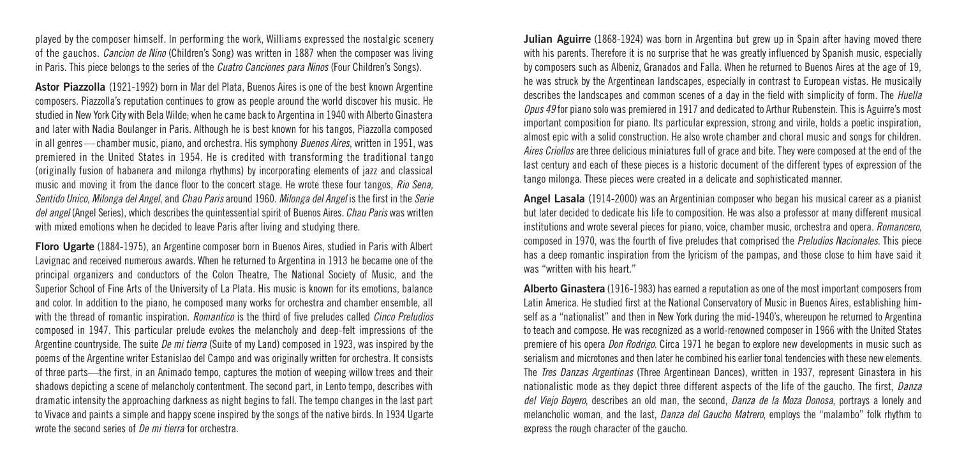played by the composer himself. In performing the work, Williams expressed the nostalgic scenery of the gauchos. *Cancion de Nino* (Children's Song) was written in 1887 when the composer was living in Paris. This piece belongs to the series of the *Cuatro Canciones para Ninos* (Four Children's Songs).

**Astor Piazzolla** (1921-1992) born in Mar del Plata, Buenos Aires is one of the best known Argentine composers. Piazzolla's reputation continues to grow as people around the world discover his music. He studied in New York City with Bela Wilde; when he came back to Argentina in 1940 with Alberto Ginastera and later with Nadia Boulanger in Paris. Although he is best known for his tangos, Piazzolla composed in all genres — chamber music, piano, and orchestra. His symphony *Buenos Aires*, written in 1951, was premiered in the United States in 1954. He is credited with transforming the traditional tango (originally fusion of habanera and milonga rhythms) by incorporating elements of jazz and classical music and moving it from the dance floor to the concert stage. He wrote these four tangos, *Rio Sena, Sentido Unico, Milonga del Angel*, and *Chau Paris* around 1960. *Milonga del Angel* is the first in the *Serie del angel* (Angel Series), which describes the quintessential spirit of Buenos Aires. *Chau Paris* was written with mixed emotions when he decided to leave Paris after living and studying there.

**Floro Ugarte** (1884-1975), an Argentine composer born in Buenos Aires, studied in Paris with Albert Lavignac and received numerous awards. When he returned to Argentina in 1913 he became one of the principal organizers and conductors of the Colon Theatre, The National Society of Music, and the Superior School of Fine Arts of the University of La Plata. His music is known for its emotions, balance and color. In addition to the piano, he composed many works for orchestra and chamber ensemble, all with the thread of romantic inspiration. *Romantico* is the third of five preludes called *Cinco Preludios* composed in 1947. This particular prelude evokes the melancholy and deep-felt impressions of the Argentine countryside. The suite *De mi tierra* (Suite of my Land) composed in 1923, was inspired by the poems of the Argentine writer Estanislao del Campo and was originally written for orchestra. It consists of three parts—the first, in an Animado tempo, captures the motion of weeping willow trees and their shadows depicting a scene of melancholy contentment. The second part, in Lento tempo, describes with dramatic intensity the approaching darkness as night begins to fall. The tempo changes in the last part to Vivace and paints a simple and happy scene inspired by the songs of the native birds. In 1934 Ugarte wrote the second series of *De mi tierra* for orchestra.

**Julian Aguirre** (1868-1924) was born in Argentina but grew up in Spain after having moved there with his parents. Therefore it is no surprise that he was greatly influenced by Spanish music, especially by composers such as Albeniz, Granados and Falla. When he returned to Buenos Aires at the age of 19, he was struck by the Argentinean landscapes, especially in contrast to European vistas. He musically describes the landscapes and common scenes of a day in the field with simplicity of form. The *Huella Opus 49* for piano solo was premiered in 1917 and dedicated to Arthur Rubenstein. This is Aguirre's most important composition for piano. Its particular expression, strong and virile, holds a poetic inspiration, almost epic with a solid construction. He also wrote chamber and choral music and songs for children. *Aires Criollos* are three delicious miniatures full of grace and bite. They were composed at the end of the last century and each of these pieces is a historic document of the different types of expression of the tango milonga. These pieces were created in a delicate and sophisticated manner.

**Angel Lasala** (1914-2000) was an Argentinian composer who began his musical career as a pianist but later decided to dedicate his life to composition. He was also a professor at many different musical institutions and wrote several pieces for piano, voice, chamber music, orchestra and opera. *Romancero*, composed in 1970, was the fourth of five preludes that comprised the *Preludios Nacionales*. This piece has a deep romantic inspiration from the lyricism of the pampas, and those close to him have said it was "written with his heart."

**Alberto Ginastera** (1916-1983) has earned a reputation as one of the most important composers from Latin America. He studied first at the National Conservatory of Music in Buenos Aires, establishing himself as a "nationalist" and then in New York during the mid-1940's, whereupon he returned to Argentina to teach and compose. He was recognized as a world-renowned composer in 1966 with the United States premiere of his opera *Don Rodrigo*. Circa 1971 he began to explore new developments in music such as serialism and microtones and then later he combined his earlier tonal tendencies with these new elements. The *Tres Danzas Argentinas* (Three Argentinean Dances), written in 1937, represent Ginastera in his nationalistic mode as they depict three different aspects of the life of the gaucho. The first, *Danza del Viejo Boyero*, describes an old man, the second, *Danza de la Moza Donosa*, portrays a lonely and melancholic woman, and the last, *Danza del Gaucho Matrero*, employs the "malambo" folk rhythm to express the rough character of the gaucho.